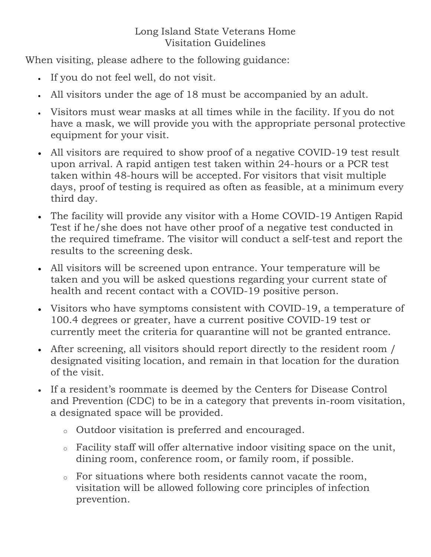## Long Island State Veterans Home Visitation Guidelines

When visiting, please adhere to the following guidance:

- If you do not feel well, do not visit.
- All visitors under the age of 18 must be accompanied by an adult.
- Visitors must wear masks at all times while in the facility. If you do not have a mask, we will provide you with the appropriate personal protective equipment for your visit.
- All visitors are required to show proof of a negative COVID-19 test result upon arrival. A rapid antigen test taken within 24-hours or a PCR test taken within 48-hours will be accepted. For visitors that visit multiple days, proof of testing is required as often as feasible, at a minimum every third day.
- The facility will provide any visitor with a Home COVID-19 Antigen Rapid Test if he/she does not have other proof of a negative test conducted in the required timeframe. The visitor will conduct a self-test and report the results to the screening desk.
- All visitors will be screened upon entrance. Your temperature will be taken and you will be asked questions regarding your current state of health and recent contact with a COVID-19 positive person.
- Visitors who have symptoms consistent with COVID-19, a temperature of 100.4 degrees or greater, have a current positive COVID-19 test or currently meet the criteria for quarantine will not be granted entrance.
- After screening, all visitors should report directly to the resident room / designated visiting location, and remain in that location for the duration of the visit.
- If a resident's roommate is deemed by the Centers for Disease Control and Prevention (CDC) to be in a category that prevents in-room visitation, a designated space will be provided.
	- <sup>o</sup> Outdoor visitation is preferred and encouraged.
	- <sup>o</sup> Facility staff will offer alternative indoor visiting space on the unit, dining room, conference room, or family room, if possible.
	- <sup>o</sup> For situations where both residents cannot vacate the room, visitation will be allowed following core principles of infection prevention.